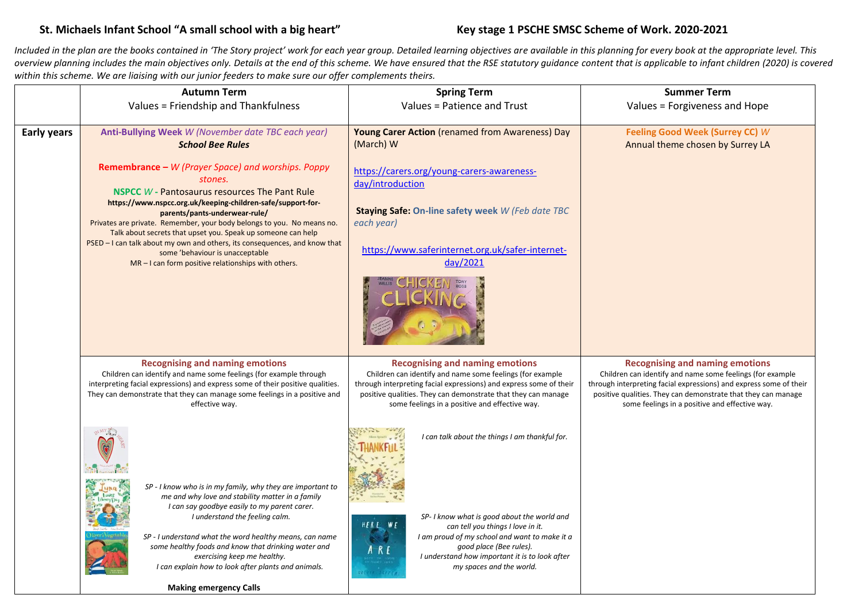# **St. Michaels Infant School "A small school with a big heart" Key stage 1 PSCHE SMSC Scheme of Work. 2020-2021**

*Included in the plan are the books contained in 'The Story project' work for each year group. Detailed learning objectives are available in this planning for every book at the appropriate level. This*  overview planning includes the main objectives only. Details at the end of this scheme. We have ensured that the RSE statutory quidance content that is applicable to infant children (2020) is covered within this scheme. We are liaising with our junior feeders to make sure our offer complements theirs.

|                    | <b>Autumn Term</b>                                                                                                                                                                                                                                                                                                                                                                                                                                                                                                                      | <b>Spring Term</b>                                                                                                                                                                                                                                                                           | <b>Summer Term</b>                                                                                                                                                                                                                                                                    |
|--------------------|-----------------------------------------------------------------------------------------------------------------------------------------------------------------------------------------------------------------------------------------------------------------------------------------------------------------------------------------------------------------------------------------------------------------------------------------------------------------------------------------------------------------------------------------|----------------------------------------------------------------------------------------------------------------------------------------------------------------------------------------------------------------------------------------------------------------------------------------------|---------------------------------------------------------------------------------------------------------------------------------------------------------------------------------------------------------------------------------------------------------------------------------------|
|                    | Values = Friendship and Thankfulness                                                                                                                                                                                                                                                                                                                                                                                                                                                                                                    | Values = Patience and Trust                                                                                                                                                                                                                                                                  | Values = Forgiveness and Hope                                                                                                                                                                                                                                                         |
| <b>Early years</b> | Anti-Bullying Week W (November date TBC each year)<br><b>School Bee Rules</b>                                                                                                                                                                                                                                                                                                                                                                                                                                                           | <b>Young Carer Action</b> (renamed from Awareness) Day<br>(March) W                                                                                                                                                                                                                          | Feeling Good Week (Surrey CC) W<br>Annual theme chosen by Surrey LA                                                                                                                                                                                                                   |
|                    | Remembrance - W (Prayer Space) and worships. Poppy<br>stones.<br><b>NSPCC</b> W - Pantosaurus resources The Pant Rule<br>https://www.nspcc.org.uk/keeping-children-safe/support-for-<br>parents/pants-underwear-rule/<br>Privates are private. Remember, your body belongs to you. No means no.<br>Talk about secrets that upset you. Speak up someone can help<br>PSED – I can talk about my own and others, its consequences, and know that<br>some 'behaviour is unacceptable<br>MR - I can form positive relationships with others. | https://carers.org/young-carers-awareness-<br>day/introduction<br>Staying Safe: On-line safety week W (Feb date TBC<br>each year)<br>https://www.saferinternet.org.uk/safer-internet-<br>day/2021                                                                                            |                                                                                                                                                                                                                                                                                       |
|                    | <b>Recognising and naming emotions</b><br>Children can identify and name some feelings (for example through<br>interpreting facial expressions) and express some of their positive qualities.<br>They can demonstrate that they can manage some feelings in a positive and<br>effective way.                                                                                                                                                                                                                                            | <b>Recognising and naming emotions</b><br>Children can identify and name some feelings (for example<br>through interpreting facial expressions) and express some of their<br>positive qualities. They can demonstrate that they can manage<br>some feelings in a positive and effective way. | Recognising and naming emotions<br>Children can identify and name some feelings (for example<br>through interpreting facial expressions) and express some of their<br>positive qualities. They can demonstrate that they can manage<br>some feelings in a positive and effective way. |
|                    | SP - I know who is in my family, why they are important to<br>me and why love and stability matter in a family<br>I can say goodbye easily to my parent carer.<br>I understand the feeling calm.<br>SP - I understand what the word healthy means, can name<br>some healthy foods and know that drinking water and<br>exercising keep me healthy.                                                                                                                                                                                       | I can talk about the things I am thankful for.<br>SP- I know what is good about the world and<br>HERE WE<br>can tell you things I love in it.<br>I am proud of my school and want to make it a<br>good place (Bee rules).<br>ARE<br>I understand how important it is to look after           |                                                                                                                                                                                                                                                                                       |
|                    | I can explain how to look after plants and animals.<br><b>Making emergency Calls</b>                                                                                                                                                                                                                                                                                                                                                                                                                                                    | my spaces and the world.                                                                                                                                                                                                                                                                     |                                                                                                                                                                                                                                                                                       |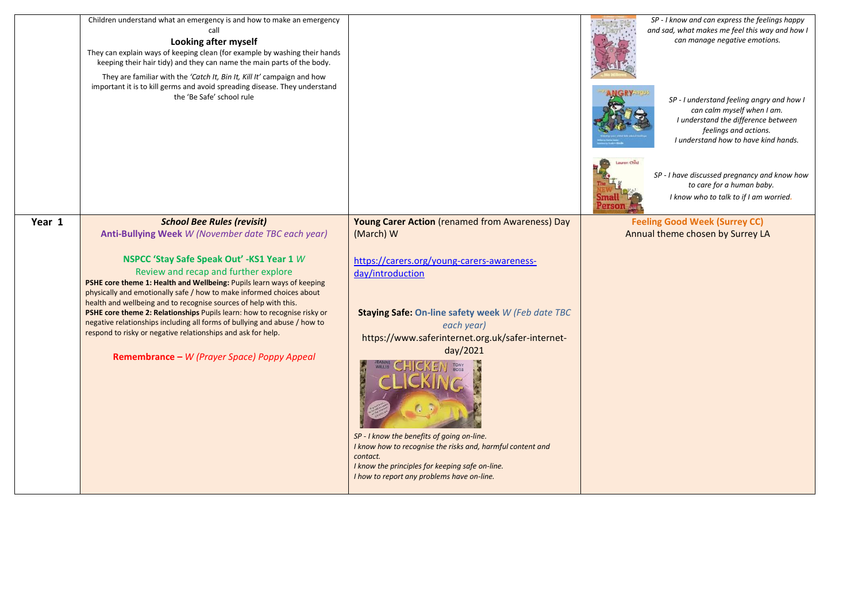|        | Children understand what an emergency is and how to make an emergency<br>call<br>Looking after myself<br>They can explain ways of keeping clean (for example by washing their hands<br>keeping their hair tidy) and they can name the main parts of the body.<br>They are familiar with the 'Catch It, Bin It, Kill It' campaign and how<br>important it is to kill germs and avoid spreading disease. They understand<br>the 'Be Safe' school rule                                                                                                                                                                                                                       |                                                                                                                                                                                                                                                                                                                                                                                                                                                                                                   | SP - I know and can express the feelings happy<br>and sad, what makes me feel this way and how I<br>can manage negative emotions.<br>SP - I understand feeling angry and how I<br>can calm myself when I am.<br>I understand the difference between<br>feelings and actions.<br>I understand how to have kind hands.<br>Lauren Child<br>SP - I have discussed pregnancy and know how<br>to care for a human baby.<br>I know who to talk to if I am worried. |
|--------|---------------------------------------------------------------------------------------------------------------------------------------------------------------------------------------------------------------------------------------------------------------------------------------------------------------------------------------------------------------------------------------------------------------------------------------------------------------------------------------------------------------------------------------------------------------------------------------------------------------------------------------------------------------------------|---------------------------------------------------------------------------------------------------------------------------------------------------------------------------------------------------------------------------------------------------------------------------------------------------------------------------------------------------------------------------------------------------------------------------------------------------------------------------------------------------|-------------------------------------------------------------------------------------------------------------------------------------------------------------------------------------------------------------------------------------------------------------------------------------------------------------------------------------------------------------------------------------------------------------------------------------------------------------|
| Year 1 | <b>School Bee Rules (revisit)</b><br>Anti-Bullying Week W (November date TBC each year)<br>NSPCC 'Stay Safe Speak Out' -KS1 Year 1 W<br>Review and recap and further explore<br>PSHE core theme 1: Health and Wellbeing: Pupils learn ways of keeping<br>physically and emotionally safe / how to make informed choices about<br>health and wellbeing and to recognise sources of help with this.<br>PSHE core theme 2: Relationships Pupils learn: how to recognise risky or<br>negative relationships including all forms of bullying and abuse / how to<br>respond to risky or negative relationships and ask for help.<br>Remembrance - W (Prayer Space) Poppy Appeal | <b>Young Carer Action</b> (renamed from Awareness) Day<br>(March) W<br>https://carers.org/young-carers-awareness-<br>day/introduction<br>Staying Safe: On-line safety week W (Feb date TBC<br>each year)<br>https://www.saferinternet.org.uk/safer-internet-<br>day/2021<br>SP - I know the benefits of going on-line.<br>I know how to recognise the risks and, harmful content and<br>contact.<br>I know the principles for keeping safe on-line.<br>I how to report any problems have on-line. | <b>Feeling Good Week (Surrey CC)</b><br>Annual theme chosen by Surrey LA                                                                                                                                                                                                                                                                                                                                                                                    |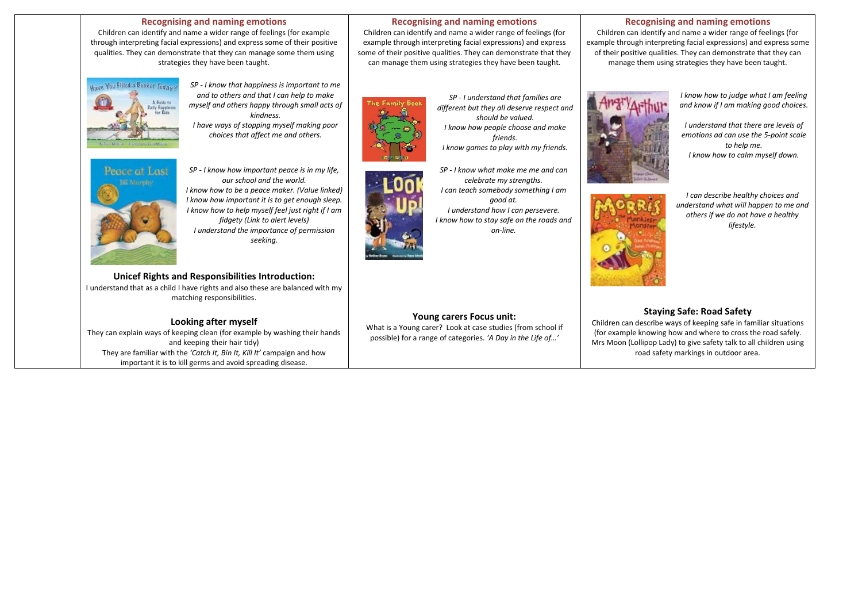### **Recognising and naming emotions**

Children can identify and name a wider range of feelings (for example through interpreting facial expressions) and express some of their positive qualities. They can demonstrate that they can manage some them using strategies they have been taught.



*SP - I know that happiness is important to me and to others and that I can help to make myself and others happy through small acts of kindness. I have ways of stopping myself making poor choices that affect me and others.*

Peace at Last

*SP - I know how important peace is in my life, our school and the world. I know how to be a peace maker. (Value linked) I know how important it is to get enough sleep. I know how to help myself feel just right if I am fidgety (Link to alert levels) I understand the importance of permission seeking.*

#### **Unicef Rights and Responsibilities Introduction:** I understand that as a child I have rights and also these are balanced with my

matching responsibilities.

# **Looking after myself**

They can explain ways of keeping clean (for example by washing their hands and keeping their hair tidy) They are familiar with the *'Catch It, Bin It, Kill It'* campaign and how important it is to kill germs and avoid spreading disease.

#### **Recognising and naming emotions**

Children can identify and name a wider range of feelings (for example through interpreting facial expressions) and express some of their positive qualities. They can demonstrate that they can manage them using strategies they have been taught.

# The Family Bool



- *SP - I understand that families are different but they all deserve respect and should be valued. I know how people choose and make friends. I know games to play with my friends.*
- *SP - I know what make me me and can celebrate my strengths. I can teach somebody something I am good at. I understand how I can persevere. I know how to stay safe on the roads and on-line.*

# **Young carers Focus unit:**

What is a Young carer? Look at case studies (from school if possible) for a range of categories. *'A Day in the Life of…'*





*I understand that there are levels of emotions ad can use the 5-point scale to help me. I know how to calm myself down.*



*I can describe healthy choices and understand what will happen to me and others if we do not have a healthy lifestyle.*

# **Staying Safe: Road Safety**

Children can describe ways of keeping safe in familiar situations (for example knowing how and where to cross the road safely. Mrs Moon (Lollipop Lady) to give safety talk to all children using road safety markings in outdoor area.



## **Recognising and naming emotions**

Children can identify and name a wider range of feelings (for example through interpreting facial expressions) and express some of their positive qualities. They can demonstrate that they can manage them using strategies they have been taught.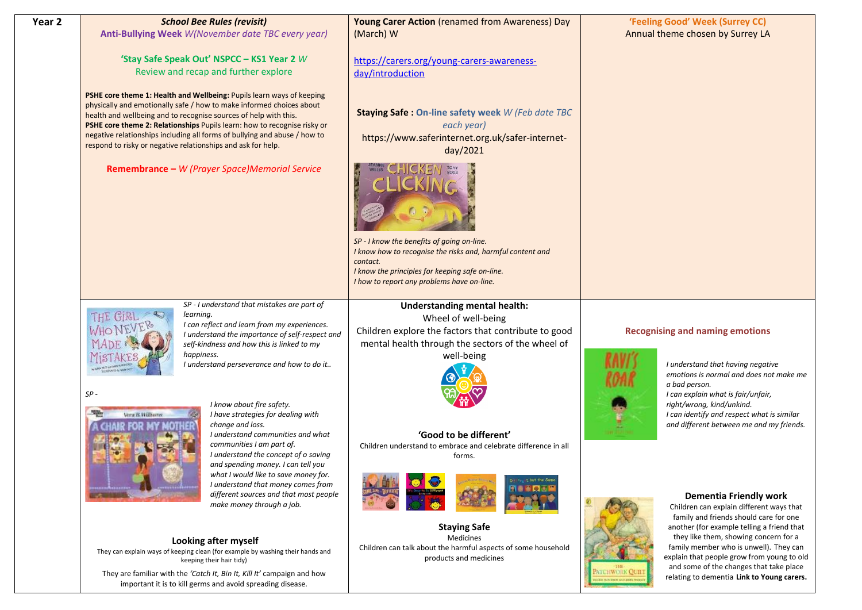| Year 2 | <b>School Bee Rules (revisit)</b>                                                                                                                                                                                                                                                                                                                                                                                                          | Young Carer Action (renamed from Awareness) Day                                                                                                                                                                       |              | 'Feeling Good' Week (Surrey CC)                                                                                                                                                                                       |
|--------|--------------------------------------------------------------------------------------------------------------------------------------------------------------------------------------------------------------------------------------------------------------------------------------------------------------------------------------------------------------------------------------------------------------------------------------------|-----------------------------------------------------------------------------------------------------------------------------------------------------------------------------------------------------------------------|--------------|-----------------------------------------------------------------------------------------------------------------------------------------------------------------------------------------------------------------------|
|        | Anti-Bullying Week W(November date TBC every year)                                                                                                                                                                                                                                                                                                                                                                                         | (March) W                                                                                                                                                                                                             |              | Annual theme chosen by Surrey LA                                                                                                                                                                                      |
|        | 'Stay Safe Speak Out' NSPCC - KS1 Year 2 W<br>Review and recap and further explore                                                                                                                                                                                                                                                                                                                                                         | https://carers.org/young-carers-awareness-<br>day/introduction                                                                                                                                                        |              |                                                                                                                                                                                                                       |
|        | PSHE core theme 1: Health and Wellbeing: Pupils learn ways of keeping<br>physically and emotionally safe / how to make informed choices about<br>health and wellbeing and to recognise sources of help with this.<br>PSHE core theme 2: Relationships Pupils learn: how to recognise risky or<br>negative relationships including all forms of bullying and abuse / how to<br>respond to risky or negative relationships and ask for help. | <b>Staying Safe: On-line safety week W (Feb date TBC</b><br>each year)<br>https://www.saferinternet.org.uk/safer-internet-<br>day/2021                                                                                |              |                                                                                                                                                                                                                       |
|        | Remembrance - W (Prayer Space)Memorial Service                                                                                                                                                                                                                                                                                                                                                                                             |                                                                                                                                                                                                                       |              |                                                                                                                                                                                                                       |
|        |                                                                                                                                                                                                                                                                                                                                                                                                                                            | SP - I know the benefits of going on-line.<br>I know how to recognise the risks and, harmful content and<br>contact.<br>I know the principles for keeping safe on-line.<br>I how to report any problems have on-line. |              |                                                                                                                                                                                                                       |
|        | SP - I understand that mistakes are part of                                                                                                                                                                                                                                                                                                                                                                                                | <b>Understanding mental health:</b>                                                                                                                                                                                   |              |                                                                                                                                                                                                                       |
|        | learning.<br>I can reflect and learn from my experiences.                                                                                                                                                                                                                                                                                                                                                                                  | Wheel of well-being                                                                                                                                                                                                   |              |                                                                                                                                                                                                                       |
|        | I understand the importance of self-respect and                                                                                                                                                                                                                                                                                                                                                                                            | Children explore the factors that contribute to good                                                                                                                                                                  |              | <b>Recognising and naming emotions</b>                                                                                                                                                                                |
|        | self-kindness and how this is linked to my                                                                                                                                                                                                                                                                                                                                                                                                 | mental health through the sectors of the wheel of                                                                                                                                                                     |              |                                                                                                                                                                                                                       |
|        | happiness.<br>I understand perseverance and how to do it                                                                                                                                                                                                                                                                                                                                                                                   | well-being                                                                                                                                                                                                            |              | I understand that having negative<br>emotions is normal and does not make me<br>a bad person.                                                                                                                         |
|        | $SP -$                                                                                                                                                                                                                                                                                                                                                                                                                                     |                                                                                                                                                                                                                       |              | I can explain what is fair/unfair,                                                                                                                                                                                    |
|        | I know about fire safety.<br>I have strategies for dealing with<br>Vera B. Williams                                                                                                                                                                                                                                                                                                                                                        |                                                                                                                                                                                                                       |              | right/wrong, kind/unkind.<br>I can identify and respect what is similar                                                                                                                                               |
|        | change and loss.                                                                                                                                                                                                                                                                                                                                                                                                                           |                                                                                                                                                                                                                       |              | and different between me and my friends.                                                                                                                                                                              |
|        | I understand communities and what<br>communities I am part of.<br>I understand the concept of o saving<br>and spending money. I can tell you                                                                                                                                                                                                                                                                                               | 'Good to be different'<br>Children understand to embrace and celebrate difference in all<br>forms.                                                                                                                    |              |                                                                                                                                                                                                                       |
|        | what I would like to save money for.<br>I understand that money comes from<br>different sources and that most people<br>make money through a job.                                                                                                                                                                                                                                                                                          | Diff <sup>er</sup> rent, but the Same                                                                                                                                                                                 |              | <b>Dementia Friendly work</b><br>Children can explain different ways that                                                                                                                                             |
|        | Looking after myself<br>They can explain ways of keeping clean (for example by washing their hands and                                                                                                                                                                                                                                                                                                                                     | <b>Staying Safe</b><br>Medicines<br>Children can talk about the harmful aspects of some household<br>products and medicines                                                                                           |              | family and friends should care for one<br>another (for example telling a friend that<br>they like them, showing concern for a<br>family member who is unwell). They can<br>explain that people grow from young to old |
|        | keeping their hair tidy)<br>They are familiar with the 'Catch It, Bin It, Kill It' campaign and how<br>important it is to kill germs and avoid spreading disease.                                                                                                                                                                                                                                                                          |                                                                                                                                                                                                                       | VICHWORK OUI | and some of the changes that take place<br>relating to dementia Link to Young carers.                                                                                                                                 |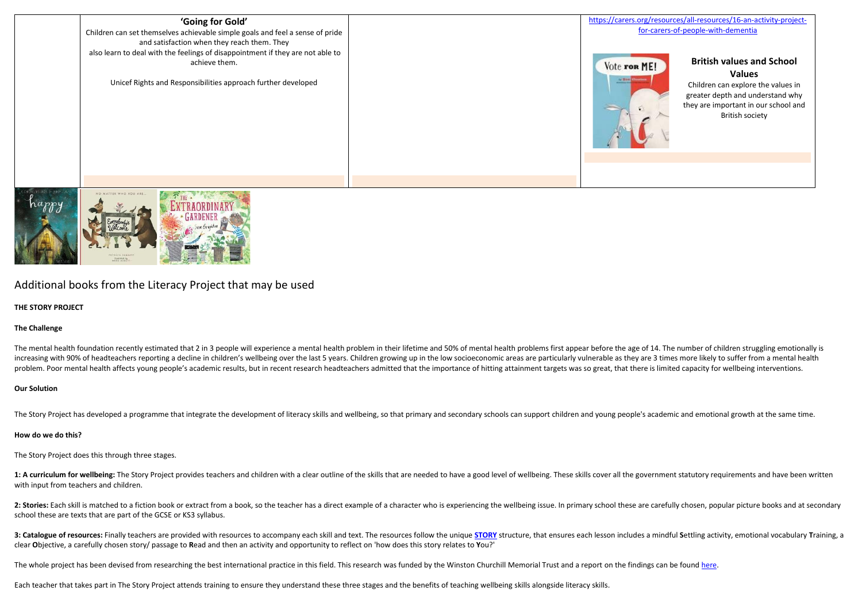



Additional books from the Literacy Project that may be used

#### **THE STORY PROJECT**

### **The Challenge**

The mental health foundation recently estimated that 2 in 3 people will experience a mental health problem in their lifetime and 50% of mental health problems first appear before the age of 14. The number of children strug increasing with 90% of headteachers reporting a decline in children's wellbeing over the last 5 years. Children growing up in the low socioeconomic areas are particularly vulnerable as they are 3 times more likely to suffe problem. Poor mental health affects young people's academic results, but in recent research headteachers admitted that the importance of hitting attainment targets was so great, that there is limited capacity for wellbeing

#### **Our Solution**

The Story Project has developed a programme that integrate the development of literacy skills and wellbeing, so that primary and secondary schools can support children and young people's academic and emotional growth at th

#### **How do we do this?**

The Story Project does this through three stages.

1: A curriculum for wellbeing: The Story Project provides teachers and children with a clear outline of the skills that are needed to have a good level of wellbeing. These skills cover all the government statutory requirem with input from teachers and children.

2: Stories: Each skill is matched to a fiction book or extract from a book, so the teacher has a direct example of a character who is experiencing the wellbeing issue. In primary school these are carefully chosen, popular school these are texts that are part of the GCSE or KS3 syllabus.

3: Catalogue of resources: Finally teachers are provided with resources to accompany each skill and text. The resources follow the unique [STORY](https://www.story-project.co.uk/projects) structure, that ensures each lesson includes a mindful Settling activity, emot clear **O**bjective, a carefully chosen story/ passage to **R**ead and then an activity and opportunity to reflect on 'how does this story relates to **Y**ou?'

The whole project has been devised from researching the best international practice in this field. This research was funded by the Winston Churchill Memorial Trust and a report on the findings can be found [here.](https://www.wcmt.org.uk/sites/default/files/report-documents/Richards%20O%20Report%202016%20Final.pdf)

Each teacher that takes part in The Story Project attends training to ensure they understand these three stages and the benefits of teaching wellbeing skills alongside literacy skills.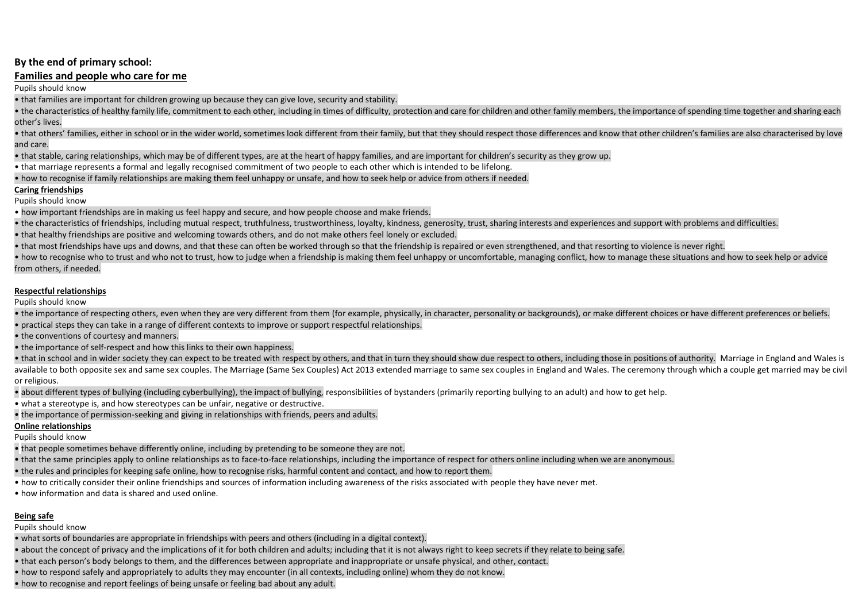# **By the end of primary school:**

# **Families and people who care for me**

Pupils should know

• that families are important for children growing up because they can give love, security and stability.

• the characteristics of healthy family life, commitment to each other, including in times of difficulty, protection and care for children and other family members, the importance of spending time together and sharing each other's lives.

• that others' families, either in school or in the wider world, sometimes look different from their family, but that they should respect those differences and know that other children's families are also characterised by and care.

• that stable, caring relationships, which may be of different types, are at the heart of happy families, and are important for children's security as they grow up.

• that marriage represents a formal and legally recognised commitment of two people to each other which is intended to be lifelong.

• how to recognise if family relationships are making them feel unhappy or unsafe, and how to seek help or advice from others if needed.

# **Caring friendships**

Pupils should know

• how important friendships are in making us feel happy and secure, and how people choose and make friends.

• the characteristics of friendships, including mutual respect, truthfulness, trustworthiness, loyalty, kindness, generosity, trust, sharing interests and experiences and support with problems and difficulties.

• that healthy friendships are positive and welcoming towards others, and do not make others feel lonely or excluded.

• that most friendships have ups and downs, and that these can often be worked through so that the friendship is repaired or even strengthened, and that resorting to violence is never right.

• how to recognise who to trust and who not to trust, how to judge when a friendship is making them feel unhappy or uncomfortable, managing conflict, how to manage these situations and how to seek help or advice from others, if needed.

# **Respectful relationships**

Pupils should know

• the importance of respecting others, even when they are very different from them (for example, physically, in character, personality or backgrounds), or make different choices or have different preferences or beliefs.

• practical steps they can take in a range of different contexts to improve or support respectful relationships.

• the conventions of courtesy and manners.

• the importance of self-respect and how this links to their own happiness.

• that in school and in wider society they can expect to be treated with respect by others, and that in turn they should show due respect to others, including those in positions of authority. Marriage in England and Wales available to both opposite sex and same sex couples. The Marriage (Same Sex Couples) Act 2013 extended marriage to same sex couples in England and Wales. The ceremony through which a couple get married may be civil or religious.

• about different types of bullying (including cyberbullying), the impact of bullying, responsibilities of bystanders (primarily reporting bullying to an adult) and how to get help.

• what a stereotype is, and how stereotypes can be unfair, negative or destructive.

• the importance of permission-seeking and giving in relationships with friends, peers and adults.

# **Online relationships**

Pupils should know

• that people sometimes behave differently online, including by pretending to be someone they are not.

• that the same principles apply to online relationships as to face-to-face relationships, including the importance of respect for others online including when we are anonymous.

• the rules and principles for keeping safe online, how to recognise risks, harmful content and contact, and how to report them.

• how to critically consider their online friendships and sources of information including awareness of the risks associated with people they have never met.

• how information and data is shared and used online.

# **Being safe**

Pupils should know

• what sorts of boundaries are appropriate in friendships with peers and others (including in a digital context).

• about the concept of privacy and the implications of it for both children and adults; including that it is not always right to keep secrets if they relate to being safe.

• that each person's body belongs to them, and the differences between appropriate and inappropriate or unsafe physical, and other, contact.

• how to respond safely and appropriately to adults they may encounter (in all contexts, including online) whom they do not know.

• how to recognise and report feelings of being unsafe or feeling bad about any adult.